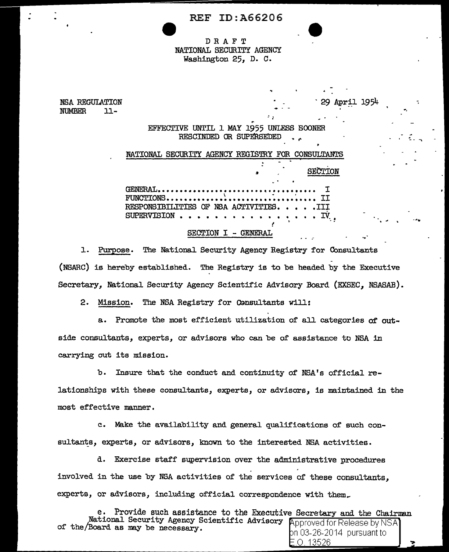| <b>REF ID: A66206</b> |  |
|-----------------------|--|
|-----------------------|--|

## DRAFT NATIONAL SECURITY AGENCY Washington 25, D. C.

NSA REGULATION NUMBER 11-

> ... EFFECTIVE UNTIL l MAY 1955 UNLESS SOONER RESCINDED OR SUPERSEDED

: ;

April 1954

. <sup>~</sup>

. .. .

 $\ddotsc$ 

|  |                                         |                                            | NATIONAL SECURITY AGENCY REGISTRY FOR CONSULTANTS |
|--|-----------------------------------------|--------------------------------------------|---------------------------------------------------|
|  |                                         |                                            | SECTION                                           |
|  | RESPONSTBILITIES OF NSA ACTIVITIES. III | <b>Contract Contract Contract Contract</b> | SUPERVISION IV <sub>.</sub>                       |

#### SECTION I - GENERAL

1. Purpose. The National Security Agency Registry for Consultants (NSARC) is hereby established. The Registry is to be headed by the Executive Secretary, National Security Agency Scientific Advisory Board (EXSEC, NSASAB).

2. Mission. The NSA Registry for Consultants will:

a. Promote the most efficient utilization of all categories of outside consultants, experts, or advisors who can be of' assistance to NSA in carrying out its mission.

b. Insure that the conduct and continuity of' NSA's official re-

lationships with these consultants, experts, or advisors, is maintained in the most effective manner.

c. Make the availability and general qualifications of such consultants, experts, or advisors, known to the interested NSA activities.

d. Exercise staff supervision over the administrative procedures involved in the use by NSA activities of the services of these consultants, experts, or advisors, including official correspondence with them\_

Provide such assistance to the Executive Secretary and the Chairman of the/Board as may be necessary. National Security Agency Scientific Advisory **Approved for Release by NSA** of the Board as may be necessary.  $\frac{1}{2}$  pursuant to  $\frac{1}{2}$  pursuant to

.0.13526 ,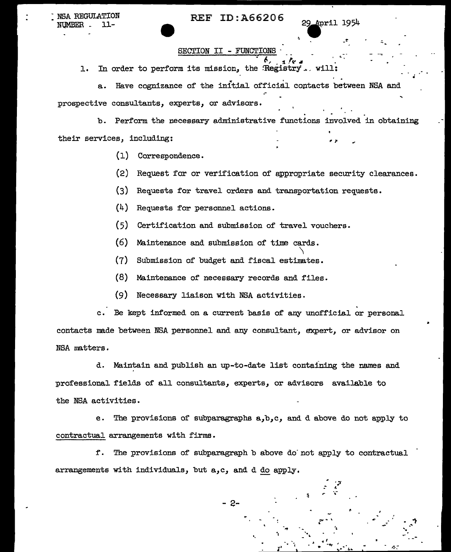: NSA REGULATION NUMBER - 11-

## REF ID:A66206

 $\mathcal{L}^{\mathcal{P}}$ ·,-

. . , .. -·, • .· h

 $\mathcal{F}_\mathbf{r} = \mathcal{F}_\mathbf{r} = \mathcal{F}_\mathbf{r} = \mathcal{F}_\mathbf{r} = \mathcal{F}_\mathbf{r}$ 

.<br>.<br>.

## SECTION II - FUNCTIONS

1. In order to perform its mission, the :Registry ... will:<br>a. Have cognizance of the initial official contacts between NSA and prospective consultants, experts, or advisors.

b. Perform the necessary administrative functions involved in obtaining their services, including:

- (1) Correspondence.
- (2) Request for or verification of appropriate security clearances.
- (3) Requests for travel orders and transportation requests.
- $(4)$ Requests for personnel actions.
- (5) Certification and submission of travel vouchers.
- (6) Maintenance and submission of time cards.  $\lambda$
- (7) Submission of budget and fiscal estinates.
- (8) Maintenance of necessary records and files.
- (9) Necessary liaison with NSA activities.

c. Be kept informed on a current basis of any unofficial or personal contacts made between NSA personnel and any consultant, expert, or advisor on NSA matters.

d. Maintain and publish an up-to-date list containing the names and professional fields of all consultants, experts, or advisors available to the NSA activities.

e. The provisions of subparagraphs a,b,c, and d above do not apply to contractual arrangements with firms.

f. The provisions of subparagraph b above do· not apply to contractual arrangements with individuals, but a,c, and d do apply.

- 2-

 $\mathbf{v}_i = \mathbf{v}_i + \mathbf{v}_i$ 

 $\frac{1}{2}$ •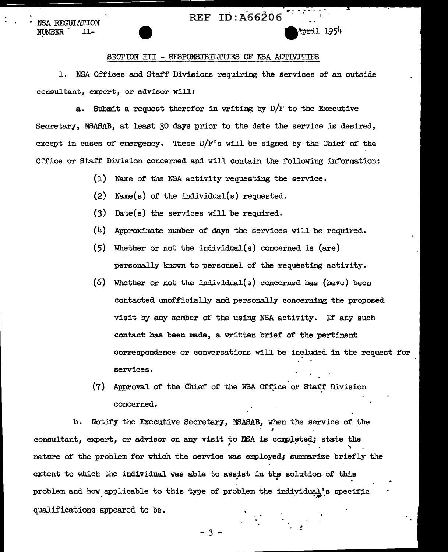## REF ID: A66206

NSA REGULATION NÚMBER 11-

## April 1954

#### SECTION III - RESPONSIBILITIES OF NSA ACTIVITIES

1. NSA Offices and Staff Divisions requiring the services of an outside consultant, expert, or advisor will:

a. Submit a request therefor in writing by  $D/F$  to the Executive Secretary, NSASAB, at least 30 days prior to the date the service is desired, except in cases of emergency. These  $D/F'$ s will be signed by the Chief of the Office or Staff Division concerned and will contain the following information:

- $(1)$ Name of the NSA activity requesting the service.
- $(2)$ Name( $s$ ) of the individual( $s$ ) requested.
- $(3)$ Date( $s$ ) the services will be required.
- $(4)$ Approximate number of days the services will be required.
- $(5)$ Whether or not the individual(s) concerned is  $(\text{are})$ personally known to personnel of the requesting activity.
- $(6)$ Whether or not the individual(s) concerned has (have) been contacted unofficially and personally concerning the proposed visit by any member of the using NSA activity. If any such contact has been made, a written brief of the pertinent correspondence or conversations will be included in the request for services.
- $(7)$ Approval of the Chief of the NSA Office or Staff Division concerned.

b. Notify the Executive Secretary, NSASAB, when the service of the consultant, expert, or advisor on any visit to NSA is completed; state the nature of the problem for which the service was employed; summarize briefly the extent to which the individual was able to assist in the solution of this problem and how applicable to this type of problem the individual's specific qualifications appeared to be.

3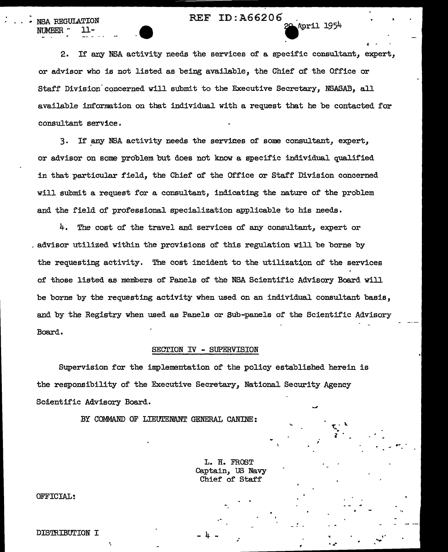# REF ID:A66206<br>20 April 1954

2. If any NSA activity needs the services of a specific consultant, expert, or advisor who is not listed as being avail.able, the Chief of the Office or Staff Division concerned will submit to the Executive Secretary, NSASAB, all available information on that individual with a request that he be contacted for consultant service.

3. If any NSA activity needs the services of some consultant, expert, or advisor on some problem but does not know a specific individual qualified in that particular field, the Chief of the Office or Staff Division concerned will submit a request for a consultant, indicating the nature of the problem and the field of professional specialization applicable to his needs.

4. The cost of the travel and services of any consultant, expert or . advisor utilized within the provisions of this regulation will be borne by the requesting activity. The cost incident to the utilization of the services of those listed as members of Panels of the NSA Scientific Advisory Board will be borne by the requesting activity when used on an individual consultant basis, and by the Registry when used as Panels or Sub-panels of the Scientific Advisory Board.

#### SECTION IV - SUPERVISION

Supervision for the implementation of the policy established herein is the responsibility of the Executive Secretary, National Security Agency Scientific Advisory Board.

BY COMMAND OF LIEUIENANT GENERAL CANINE:

L. H. FROST Captain, US Navy Chief of Staff

 $t_{\rm j}$   $\cdot$  $\blacksquare$ 

 $\cdot$  .

.. ....

.~ .

 $\cdot$  .

*i* 

 $-4$  - ;

OFFICIAL:

NSA REGULATION

NUMBER.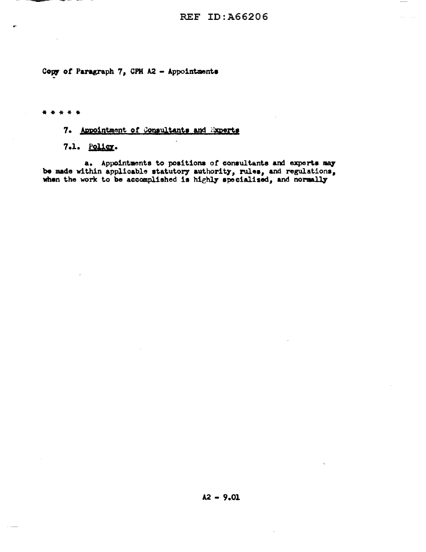Copy of Paragraph 7, CPH A2 - Appointments

\* \* \* \* \*

## 7. Appointment of Consultants and Experts

7.1. Policy.

a. Appointments to positions of consultants and experts may be made within applicable statutory authority, rules, and regulations, when the work to be accomplished is highly specialized, and normally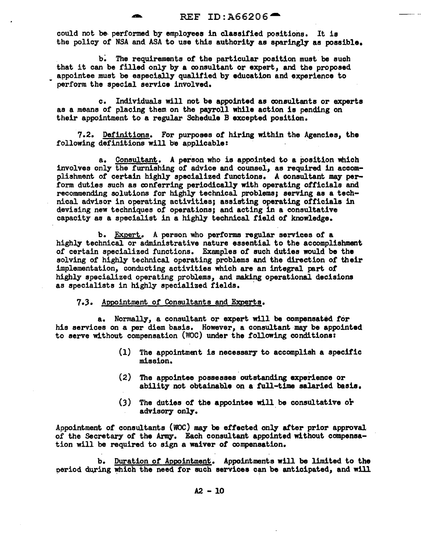could not be performed by employees in classified positions. It is the policy of NSA and ASA to use this authority as sparingly as possible.

b: The requirements of the particular position must be such that it can be filled only by a consultant or expert, and the proposed appointee must be especiaJJ.y qualified by education and experience to perform the special service involved.

c. Individuals will not be appointed as consultants or experts as a means of placing them on the payroll while action is pending on their appointment to a regular Schedule B excepted position.

7.2. Definitions. For purposes of hiring within the Agencies, the following definitions will be applicable:

a. Consultant. A person who is appointed to a position which involves only the furnishing of advice and counsel, as required in accomplishment of certain highly specialized functions. A consultant may perform duties such as conferring periodically with operating officials and recommending solutions for highly technical problems; serving as a technical advisor in operating activities; assisting operating officials in devising new techniques of operations; and acting in a consultative capacity as a specialist in a highly technical field of knowledge.

b. Expert. A person who performs regular services of a highly technical or administrative nature essential to the accomplishment of certain specialized functions. Examples of such duties would be the solving of highly technical operating problems and the direction of their implementation, conducting activities which are an integral part of highly specialized operating problems, and making operational decisions as specialists in highly specialized fields.

7.3. Appointment of Consultants and Experts.

a. Normally, a consultant or expert will be compensated for his services on a per diem basis. However, a consultant may be appointed to serve without compensation (WOC) under the following conditions:

- (1) The appointment is necessary to accomplish a specific mission.
- (2) The appointee possesses outstanding experience or ability not obtainable on a full-time salaried basis.
- (3) The duties of the appointee will be consultative or advisory only.

Appointment of consultants (WOC) may be effected only after prior approval. of the Secretary of the Army. Each consultant appointed without compensation will be required to sign a waiver of compensation.

b. Duration of Appointment. Appointments will be limited to the period during which the need for such services can be anticipated, and will

 $A2 - 10$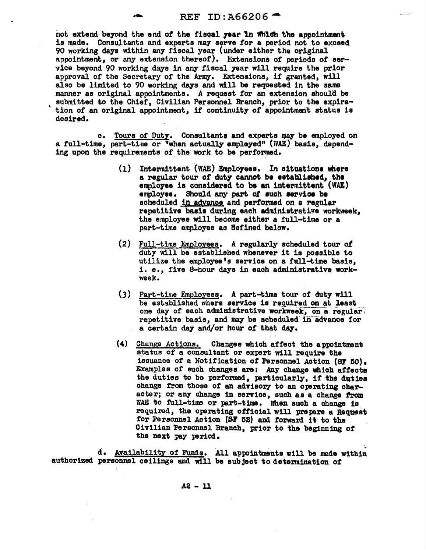## REF ID:  $A66206$ <sup>-</sup>

not extend beyond the end of the fiscal year In which the appointment is made. Consultants and experts may serve for a period not to exceed 90 working days within any fiscal year (under either the original appointment, or any extension thereof). Extensions of periods of service beyond 90 working days in any fiscal year will require the prior approval of the Secretary of the Army. Extensions, if granted, will also be limited to 90 working days and will be requested in the same manner as original appointments. A request for an extension should be submitted to the Chief, Civilian Personnel Branch, prior to the expiration of an original appointment, if continuity of appointment status is desired.

c. Tours of Duty. Consultants and experts may be employed on a full-time, part-time or "when actually employed" (WAE) basis, depend• ing upon the requirements of the work to be performed.

- $(1)$  Intermittent (WAE) Employees. In situations where a regular tour of duty cannot be established, the employee is considered to be an intermittent (WAE) employee. Should any part. of such aervioe be scheduled in advance and performed on a regular repetitive basis during each administrative workweek, the employee will become either a full-time or a part-time employee as defined below.
- (2) Full-time Employees. A regularly scheduled tour of duty will be established whenever it is possible to utilize the employee's service on a full-time basis, i. e., five 8-hour days in each administrative workweek.
- $(3)$  Part-time Employees. A part-time tour of duty will be established where service is required on at least one day of each administrative workweek, on a regularrepetitive basis, and may be scheduled-in-advance *tor*  a certain day and/or hour or that day.
- (4) Change Actions. Changes which atfeot the appointment status of a consultant or expert will require the issuance of a Notification *ot* Personnel Action (SF 50). Examples of such changes· are: *Any* change whioh afteota the duties to be performed, particularly, if the duties change from those of an advisory to an operating character; or any change in service, such as a change from WAE to full-time or part-time. When such a change is required, the operating official will prepare a Request for Personnel Action (SF 52) and forward it to the Civilian Personnel Branch, prior to the begiming *ot*  the next pay period.

d. Availability of Funds. All appointments will be made within authorized personnel ceilings and will be subject to determination of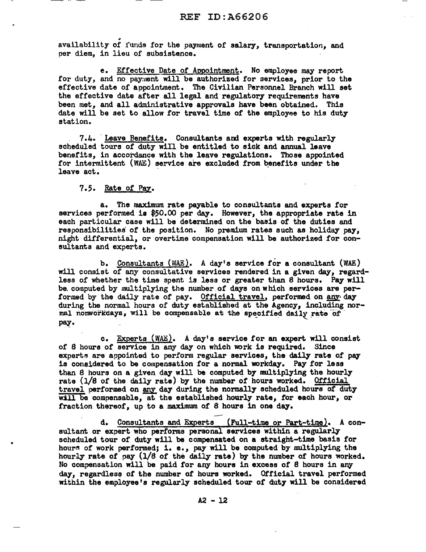availability of funds for the payment of salary, transportation, and per diem, in lieu of subsistence.

e. Effective Date of Appointment. No employee may report for duty, and no payment will be authorized for services, prior to the effective date of appointment. The Civilian Personnel Branch will set the effective date after all legal and regulatory requirements have been met, and all administrative approvals have been obtained. This date will be set to allow for travel time of the employee to his duty station.

. 7.4. ·Leave Benefits. Consultants and experts with regularly scheduled tours of duty will be entitled to sick and annual leave benefits, in accordance with the leave regulations. Those appointed for intermittent (WAE) service are excluded from benefits under the leave act.

## 7.5. Rate of Paz.

•

a. The maximum rate payable to consultants and experts for services performed is \$50.00 per day. However, the appropriate rate in each particular case will be determined on the basis of the duties and responsibilities of the position. No premium rates such as holiday pay, night differential, or overtime compensation will be authorized for consultants and experts.

b. Consultants (WAE). A day's service for a consultant (WAE) will consist of any consultative services rendered in a given *day,* regardless of whether the time spent is less or greater than 8 hours. Pay will be. computed by multiplying the number.of days on which services are performed by the daily rate of pay. Official travel, performed on any day during the normal hours of duty established at the Agency, including normal nonworkdays, will be compensable at the specified daily rate of pay.

c. Experts (WAE). A day's service for an expert will consist of 8 hours of service in any day on which work is required. Since experts are appointed to perform regular services, the daily rate of pay is considered to be compensation for a normal workday. Pay for less than 8 hours on a given day will be computed by nmltiplying the hourly rate (1/8 of the daily rate) by the number of hours worked. Official travel performed on any day during the normally scheduled hours of duty will be compensable, at the established hourly rate, for each hour, or fraction thereof, up to a maximum of 8 hours in one day.

d. Consultants and Experts (Full-time or Part-time). A consultant or expert who performs personal services within a regularly scheduled tour of duty will be compensated on a straight-time basis for hours of work performed; i. e., pay will be computed by multiplying the hourly rate of pay (1/8 of the daily rate) by the number of hours worked. No compensation will be paid for any hours in excess of 8 hours in any day, regardless of the number of hours worked. Official travel performed within the employee's regularly scheduled tour of duty will be considered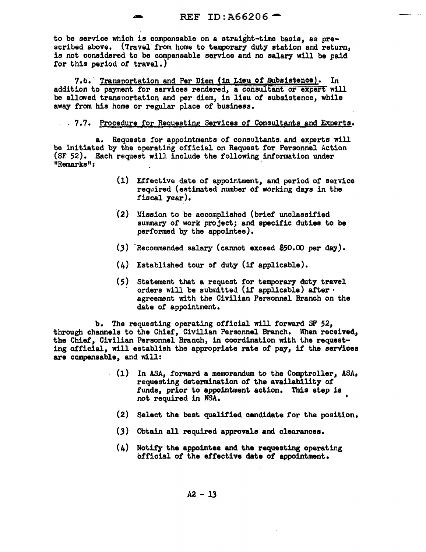to be service which is compensable on a straight-time basis, as prescribed above. (Travel from home to temporary duty station and return, is not considered to be compensable service and no salary will be paid for this period of travel.)

7.6. Transportation and Per Diem (in Lieu of Subsistence). In addition to payment for services rendered, a consultant or expert will be allowed transportation and per diem, in lieu *of* subsistence, while away from his home or regular place of business.

## . 7.7. Procedure for Requesting Services of Consultants and Experts.

a. Requests for appointments of consultants. and experts will be initiated by the operating official on Request for Personnel Action (SF 52). Each request will include the following information under "Remarks": ·

- (1) Effective date of appointment, and period of service required (estimated number of working days in the fiscal year).
- (2) Mission to be accomplished (brief unclassified summary of work project; and specific duties to be performed by the appointee).
- $(3)$  Recommended salary (cannot exceed \$50.00 per day).
- (4) Established tour of duty (if applicable).
- (5) Statement that a request for temporary duty travel orders will be submitted (if applicable) after  $\cdot$ agreement with the Civilian Personnel Branch on the date of appointment.

b. The requesting operating official will forward SF 52, through channels to the Chief, Civilian Personnel Branch. When received,, the Chief, Civilian Personnel Branch, in coordination with the requesting official, will establish the appropriate rate of pay, if the serv'ices are compensable, and will:

- (1) In ASA, forward a memorandum to the Comptroller, ASA, requesting determination of the availability *ot*  funds, prior to appointment action. This step is not required in NSA.
	- (2) Select the best qualified candidate for the position.
	- (3) Obtain all required approvals and clearances.
	- $(4)$  Notify the appointee and the requesting operating official of the effective date *ot* appointment.

 $A2 - 13$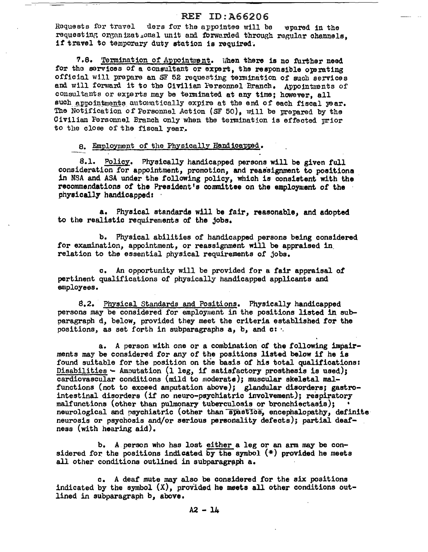## **REF ID: A66206**

Requests for travel ders for the appointse will be evared in the requesting organizational unit and forwarded through regular channels. if travel to temporary duty station is required.

7.8. Termination of Appointment. When there is no further need for the services of a consultant or expert, the responsible operating official will prepare an SF 52 requesting termination of such services and will forward it to the Civilian Personnel Branch. Appointments of consultants or exterts may be terminated at any time; however, all such appointments automatically expire at the end of each fiscal vear. The Notification of Personnel Action (SF 50), will be prepared by the Civilian Fersonnel Branch only when the termination is effected urior to the close of the fiscal year.

8. Employment of the Physically Handicapped.

8.1. Policy. Physically handicapped persons will be given full consideration for appointment, promotion, and reassignment to positions in NSA and ASA under the following policy, which is consistent with the recommendations of the President's committee on the employment of the physically handicapped:

a. Physical standards will be fair, reasonable, and adopted to the realistic requirements of the jobs.

b. Physical abilities of handicapped persons being considered for examination, appointment, or reassignment will be appraised in relation to the essential physical requirements of jobs.

c. An opportunity will be provided for a fair appraisal of pertinent qualifications of physically handicapped applicants and employees.

8.2. Physical Standards and Positions. Physically handicapped persons may be considered for employment in the positions listed in subparagraph d, below, provided they meet the criteria established for the positions, as set forth in subparagraphs a, b, and c: .

a. A person with one or a combination of the following impairments may be considered for any of the positions listed below if he is found suitable for the position on the basis of his total qualifications: Disabilities - Amoutation (1 leg. if satisfactory prosthesis is used); cardiovascular conditions (mild to moderate): muscular skeletal malfunctions (not to exceed amputation above); glandular disorders; gastrointestinal disorders (if no neuro-psychiatric involvement); respiratory malfunctions (other than pulmonary tuberculosis or bronchiectasis); neurological and psychiatric (other than spastics, encephalopathy, definite neurosis or psychosis and/or serious personality defects); partial deafness (with hearing aid).

b. A person who has lost either a leg or an arm may be considered for the positions indicated by the symbol  $(*)$  provided he meets all other conditions outlined in subparagraph a.

c. A deaf mute may also be considered for the six positions indicated by the symbol  $(X)$ , provided he meets all other conditions outlined in subparagraph b, above.

 $A2 - 14$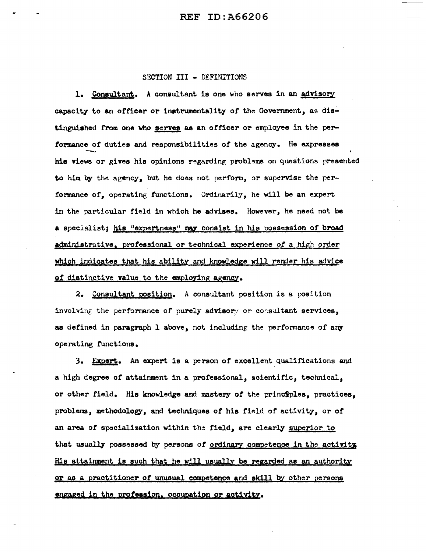## SECTION III - DEFINITIONS

1. Consultant. A consultant is one who serves in an advisory capacity to an officer or instrumentality of the Government, as distinguished from one who **serves** as an officer or employee in the performance *ot* duties and responsibilities or the agency. He expresses his views or gives his opinions regarding problems on questions presented to him by the agency, but he does not perform, or supervise the perfonnance of, operating functions. Ordinarily, he will be an expert in the particular field in which he advises. However, he need not be a specialist; his "expertness" may consist in his possession of broad administrative, professional or technical experience of a high order which indicates that his ability and knowledge will render his advice of distinctive value to the employing agency.

2. Consultant position. A consultant position is a position involving the performance of purely advisory or consultant services, as defined in paragraph 1 above, not including the performance of any operating functions.

3. Expert. An expert is a person of excellent qualifications and a high degree or attainment in a professional, scientific, technical, or other field. His knowledge and mastery of the principles, practices, problems, methodology, and techniques of his field of activity, or of an area of specialization within the field, are clearly superior to that usually possessed by persons of ordinary competence in the activity His attainment is such that he will usually be regarded as an authority 0£ as a practitioner *ot* unusyl competence and skill by other persons engaged in the profession. occupation or activity.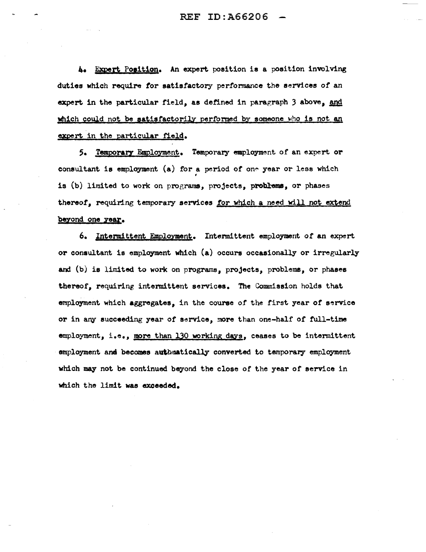4. Expert Position. An expert position is a position involving duties which require for satisfactory performance the services of an expert in the particular field, as defined in paragraph 3 above, and which could not be satisfactorily performed by someone who is not an expert in the particular field.

5. Temporary Employment. Temporary employment of an expert or consultant is employment (a) for a period of one year or less which • is (b) limited to work on programs, projects, problems, or phases thereof, requiring temporary services for which a need will not extend beyond one year.

6. Intermittent Emploxment• Intennittent employment *ot* an expert or consultant is employment which (a) occurs occasionally or irregularly and (b) is limited to work on programs, projects, problems, or phases thereof, requiring intermittent services. The Commission holds that employment which aggregates, in the course *of* the first year or service or in any succeeding year *ot* service, more than one-half of full-time employment, i.e., more than 130 working days, ceases to be intermittent employment and becomes auttunatically converted to temporary employment which may not be continued beyond the close of the year of service in which the limit was exceeded.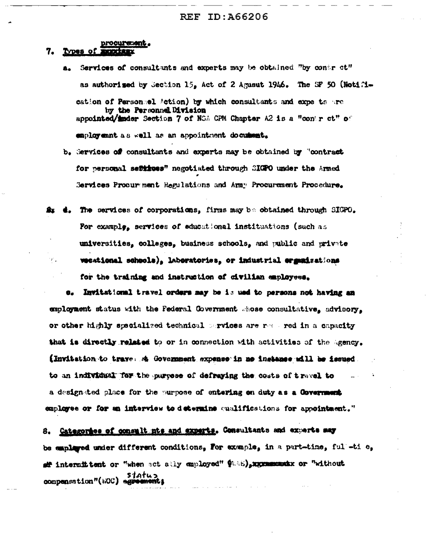procurement.

#### 7. Types of

- Services of consultants and experts may be obtained "by contr ct" А. as authorized by Section 15. Act of 2 Agusut 1946. The SF 50 (Notification of Personsel Action) by which consultants and expe ts are by the Personnel Division appointed/inder Section 7 of NSA CPM Chapter A2 is a "contract" of employemnt as well as an appointment document.
- b. Services of consultants and experts may be obtained by "contract for personal settines" negotiated through SIGPO under the Armed Services Procurment Regulations and Army Procurement Procedure.
- The services of corporations, firms may be obtained through SIGPO. For example, services of educational institustions (such as universities, colleges, business schools, and public and private weational schools), laboratories, or industrial erganizations for the training and instruction of civilian employees.

Invitational travel orders may be is ued to persons not having an employment status with the Federal Government whose consultative, advicery. or other highly specialized technical services are respective to a capacity that is directly related to or in connection with activities of the Agency. (Invitation to trave. A Government expense in no instance will be issued to an individual for the purpose of defraying the costs of travel to a designated place for the purpose of entering on duty as a Covernment employee or for an interview to determine qualifications for appointment."

Categories of consult nts and experts. Consultants and experts may 8. be employed under different conditions, For example, in a part-time, full-ti e, aff intermit tent or "when act ally employed"  $\oint$  (28), xxxmmanxx or "without status status